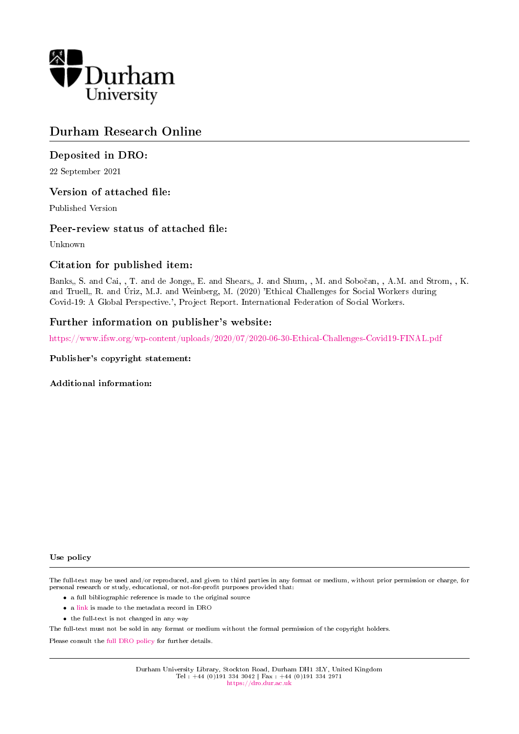

## Durham Research Online

## Deposited in DRO:

22 September 2021

### Version of attached file:

Published Version

## Peer-review status of attached file:

Unknown

## Citation for published item:

Banks, S. and Cai, , T. and de Jonge, E. and Shears, J. and Shum, , M. and Sobočan, , A.M. and Strom, , K. and Truell, R. and Úriz, M.J. and Weinberg, M. (2020) 'Ethical Challenges for Social Workers during Covid-19: A Global Perspective.', Project Report. International Federation of Social Workers.

### Further information on publisher's website:

<https://www.ifsw.org/wp-content/uploads/2020/07/2020-06-30-Ethical-Challenges-Covid19-FINAL.pdf>

#### Publisher's copyright statement:

Additional information:

#### Use policy

The full-text may be used and/or reproduced, and given to third parties in any format or medium, without prior permission or charge, for personal research or study, educational, or not-for-profit purposes provided that:

- a full bibliographic reference is made to the original source
- a [link](http://dro.dur.ac.uk/33939/) is made to the metadata record in DRO
- the full-text is not changed in any way

The full-text must not be sold in any format or medium without the formal permission of the copyright holders.

Please consult the [full DRO policy](https://dro.dur.ac.uk/policies/usepolicy.pdf) for further details.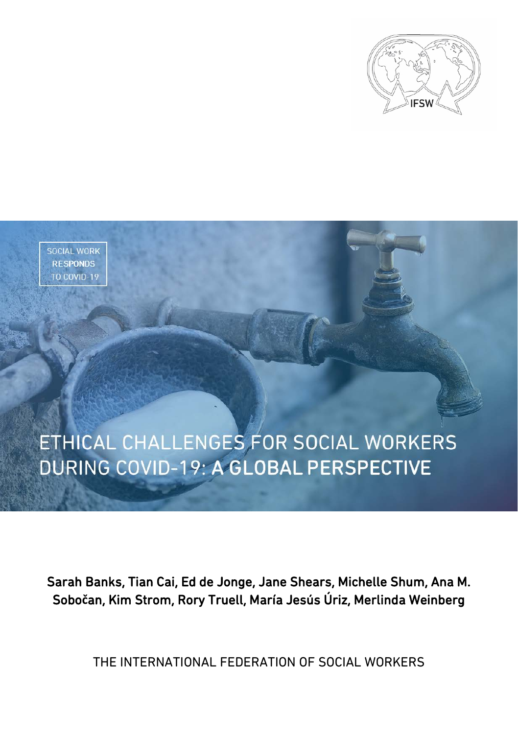

SOCIAL WORK **RESPONDS** TO COVID-19

# ETHICAL CHALLENGES FOR SOCIAL WORKERS **DURING COVID-19: A GLOBAL PERSPECTIVE**

Sarah Banks, Tian Cai, Ed de Jonge, Jane Shears, Michelle Shum, Ana M. Sobo**č**an, Kim Strom, Rory Truell, María Jesús Úriz, Merlinda Weinberg

THE INTERNATIONAL FEDERATION OF SOCIAL WORKERS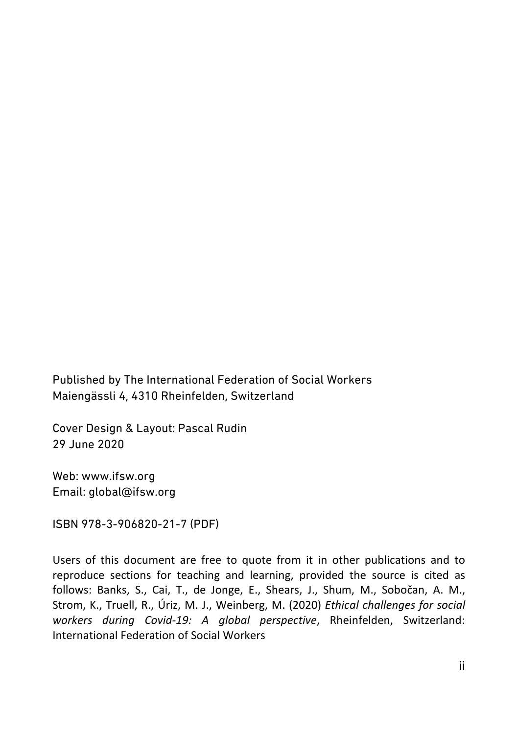Published by The International Federation of Social Workers Maiengässli 4, 4310 Rheinfelden, Switzerland

Cover Design & Layout: Pascal Rudin 29 June 2020

Web: www.ifsw.org Email: global@ifsw.org

ISBN 978-3-906820-21-7 (PDF)

Users of this document are free to quote from it in other publications and to reproduce sections for teaching and learning, provided the source is cited as follows: Banks, S., Cai, T., de Jonge, E., Shears, J., Shum, M., Sobočan, A. M., Strom, K., Truell, R., Úriz, M. J., Weinberg, M. (2020) *Ethical challenges for social workers during Covid-19: A global perspective*, Rheinfelden, Switzerland: International Federation of Social Workers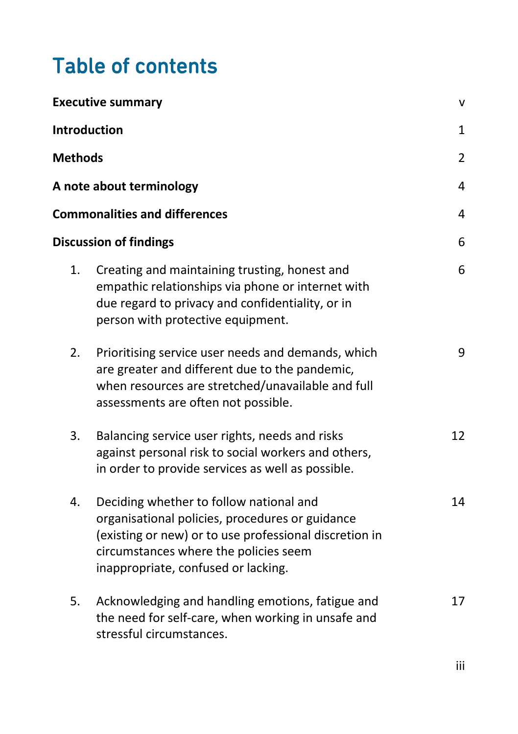# Table of contents

| <b>Executive summary</b><br><b>Introduction</b><br><b>Methods</b><br>A note about terminology<br><b>Commonalities and differences</b> |                                                                                                                                                                                                                                      |    |    |                                                                                                                                                                                                  |    |
|---------------------------------------------------------------------------------------------------------------------------------------|--------------------------------------------------------------------------------------------------------------------------------------------------------------------------------------------------------------------------------------|----|----|--------------------------------------------------------------------------------------------------------------------------------------------------------------------------------------------------|----|
|                                                                                                                                       |                                                                                                                                                                                                                                      |    |    | <b>Discussion of findings</b>                                                                                                                                                                    | 6  |
|                                                                                                                                       |                                                                                                                                                                                                                                      |    | 1. | Creating and maintaining trusting, honest and<br>empathic relationships via phone or internet with<br>due regard to privacy and confidentiality, or in<br>person with protective equipment.      | 6  |
|                                                                                                                                       |                                                                                                                                                                                                                                      |    | 2. | Prioritising service user needs and demands, which<br>are greater and different due to the pandemic,<br>when resources are stretched/unavailable and full<br>assessments are often not possible. | 9  |
|                                                                                                                                       |                                                                                                                                                                                                                                      |    | 3. | Balancing service user rights, needs and risks<br>against personal risk to social workers and others,<br>in order to provide services as well as possible.                                       | 12 |
| 4.                                                                                                                                    | Deciding whether to follow national and<br>organisational policies, procedures or guidance<br>(existing or new) or to use professional discretion in<br>circumstances where the policies seem<br>inappropriate, confused or lacking. | 14 |    |                                                                                                                                                                                                  |    |
| 5.                                                                                                                                    | Acknowledging and handling emotions, fatigue and<br>the need for self-care, when working in unsafe and<br>stressful circumstances.                                                                                                   | 17 |    |                                                                                                                                                                                                  |    |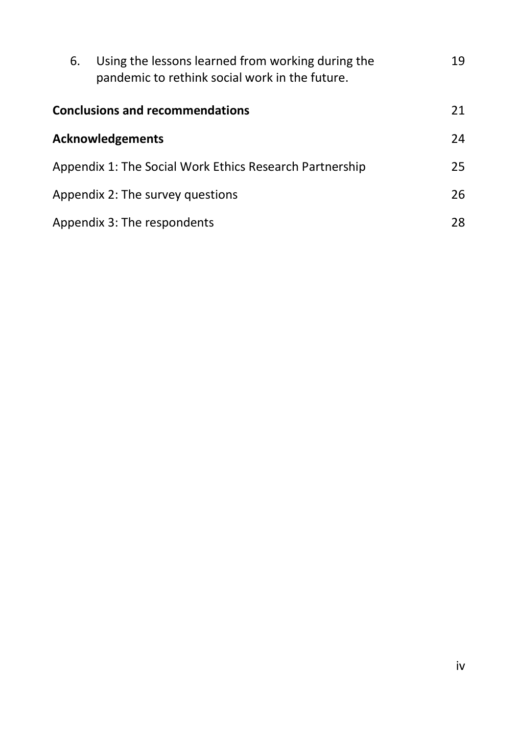| 6.                                     | Using the lessons learned from working during the<br>pandemic to rethink social work in the future. | 19 |
|----------------------------------------|-----------------------------------------------------------------------------------------------------|----|
| <b>Conclusions and recommendations</b> |                                                                                                     |    |
|                                        | <b>Acknowledgements</b>                                                                             | 24 |
|                                        | Appendix 1: The Social Work Ethics Research Partnership                                             | 25 |
|                                        | Appendix 2: The survey questions                                                                    | 26 |
| Appendix 3: The respondents            |                                                                                                     | 28 |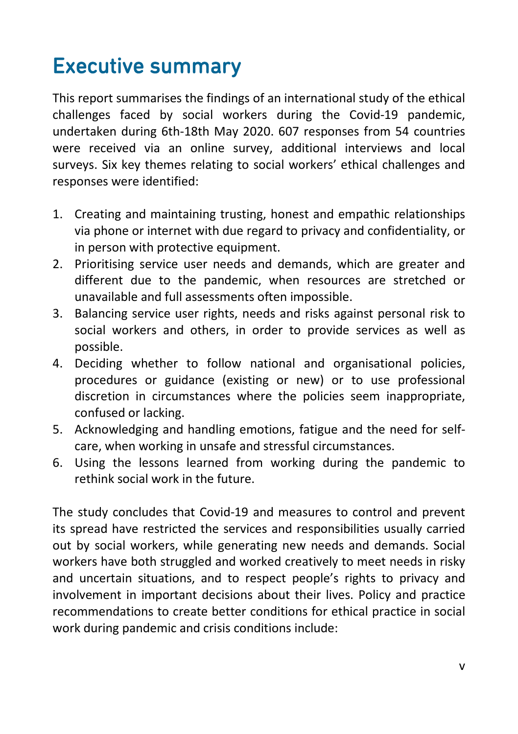# <span id="page-5-0"></span>Executive summary

This report summarises the findings of an international study of the ethical challenges faced by social workers during the Covid-19 pandemic, undertaken during 6th-18th May 2020. 607 responses from 54 countries were received via an online survey, additional interviews and local surveys. Six key themes relating to social workers' ethical challenges and responses were identified:

- 1. Creating and maintaining trusting, honest and empathic relationships via phone or internet with due regard to privacy and confidentiality, or in person with protective equipment.
- 2. Prioritising service user needs and demands, which are greater and different due to the pandemic, when resources are stretched or unavailable and full assessments often impossible.
- 3. Balancing service user rights, needs and risks against personal risk to social workers and others, in order to provide services as well as possible.
- 4. Deciding whether to follow national and organisational policies, procedures or guidance (existing or new) or to use professional discretion in circumstances where the policies seem inappropriate, confused or lacking.
- 5. Acknowledging and handling emotions, fatigue and the need for selfcare, when working in unsafe and stressful circumstances.
- 6. Using the lessons learned from working during the pandemic to rethink social work in the future.

The study concludes that Covid-19 and measures to control and prevent its spread have restricted the services and responsibilities usually carried out by social workers, while generating new needs and demands. Social workers have both struggled and worked creatively to meet needs in risky and uncertain situations, and to respect people's rights to privacy and involvement in important decisions about their lives. Policy and practice recommendations to create better conditions for ethical practice in social work during pandemic and crisis conditions include: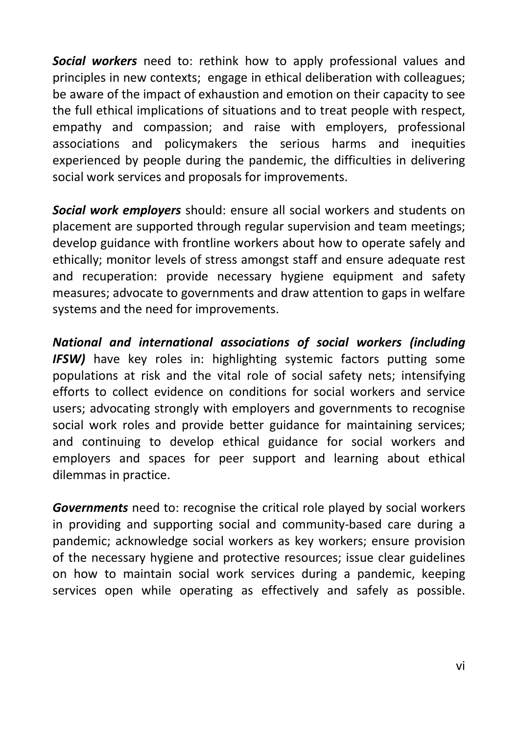*Social workers* need to: rethink how to apply professional values and principles in new contexts; engage in ethical deliberation with colleagues; be aware of the impact of exhaustion and emotion on their capacity to see the full ethical implications of situations and to treat people with respect, empathy and compassion; and raise with employers, professional associations and policymakers the serious harms and inequities experienced by people during the pandemic, the difficulties in delivering social work services and proposals for improvements.

*Social work employers* should: ensure all social workers and students on placement are supported through regular supervision and team meetings; develop guidance with frontline workers about how to operate safely and ethically; monitor levels of stress amongst staff and ensure adequate rest and recuperation: provide necessary hygiene equipment and safety measures; advocate to governments and draw attention to gaps in welfare systems and the need for improvements.

*National and international associations of social workers (including*  **IFSW)** have key roles in: highlighting systemic factors putting some populations at risk and the vital role of social safety nets; intensifying efforts to collect evidence on conditions for social workers and service users; advocating strongly with employers and governments to recognise social work roles and provide better guidance for maintaining services; and continuing to develop ethical guidance for social workers and employers and spaces for peer support and learning about ethical dilemmas in practice.

*Governments* need to: recognise the critical role played by social workers in providing and supporting social and community-based care during a pandemic; acknowledge social workers as key workers; ensure provision of the necessary hygiene and protective resources; issue clear guidelines on how to maintain social work services during a pandemic, keeping services open while operating as effectively and safely as possible.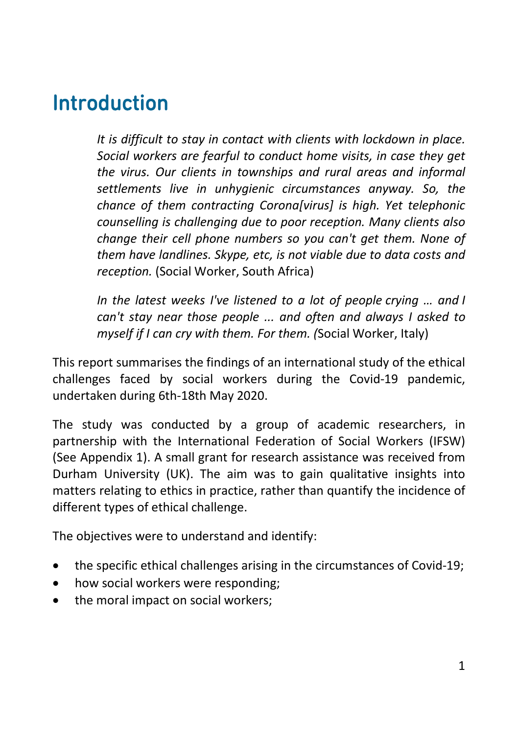## <span id="page-7-0"></span>Introduction

*It is difficult to stay in contact with clients with lockdown in place. Social workers are fearful to conduct home visits, in case they get the virus. Our clients in townships and rural areas and informal settlements live in unhygienic circumstances anyway. So, the chance of them contracting Corona[virus] is high. Yet telephonic counselling is challenging due to poor reception. Many clients also change their cell phone numbers so you can't get them. None of them have landlines. Skype, etc, is not viable due to data costs and reception.* (Social Worker, South Africa)

*In the latest weeks I've listened to a lot of people crying … and I can't stay near those people ... and often and always I asked to myself if I can cry with them. For them. (*Social Worker, Italy)

This report summarises the findings of an international study of the ethical challenges faced by social workers during the Covid-19 pandemic, undertaken during 6th-18th May 2020.

The study was conducted by a group of academic researchers, in partnership with the International Federation of Social Workers (IFSW) (See Appendix 1). A small grant for research assistance was received from Durham University (UK). The aim was to gain qualitative insights into matters relating to ethics in practice, rather than quantify the incidence of different types of ethical challenge.

The objectives were to understand and identify:

- the specific ethical challenges arising in the circumstances of Covid-19;
- how social workers were responding:
- the moral impact on social workers;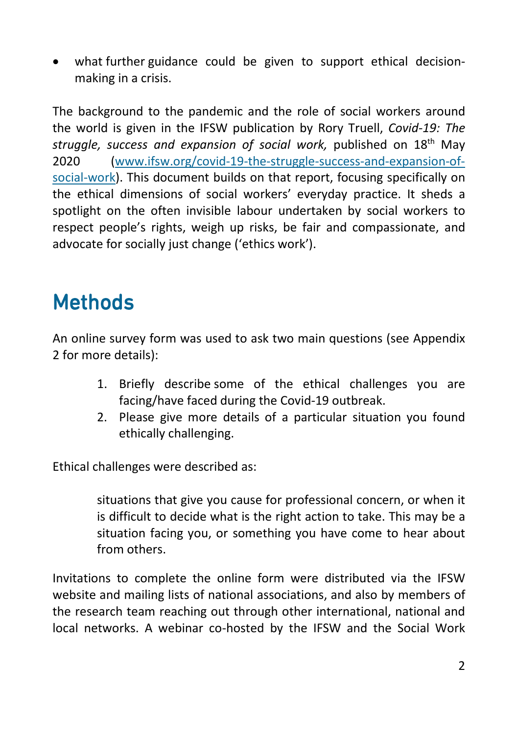what further guidance could be given to support ethical decisionmaking in a crisis.

The background to the pandemic and the role of social workers around the world is given in the IFSW publication by Rory Truell, *Covid-19: The struggle, success and expansion of social work,* published on 18th May 2020 [\(www.ifsw.org/covid-19-the-struggle-success-and-expansion-of](http://www.ifsw.org/covid-19-the-struggle-success-and-expansion-of-social-work/)[social-work\)](http://www.ifsw.org/covid-19-the-struggle-success-and-expansion-of-social-work/). This document builds on that report, focusing specifically on the ethical dimensions of social workers' everyday practice. It sheds a spotlight on the often invisible labour undertaken by social workers to respect people's rights, weigh up risks, be fair and compassionate, and advocate for socially just change ('ethics work').

## <span id="page-8-0"></span>**Methods**

An online survey form was used to ask two main questions (see Appendix 2 for more details):

- 1. Briefly describe some of the ethical challenges you are facing/have faced during the Covid-19 outbreak.
- 2. Please give more details of a particular situation you found ethically challenging.

Ethical challenges were described as:

situations that give you cause for professional concern, or when it is difficult to decide what is the right action to take. This may be a situation facing you, or something you have come to hear about from others.

Invitations to complete the online form were distributed via the IFSW website and mailing lists of national associations, and also by members of the research team reaching out through other international, national and local networks. A webinar co-hosted by the IFSW and the Social Work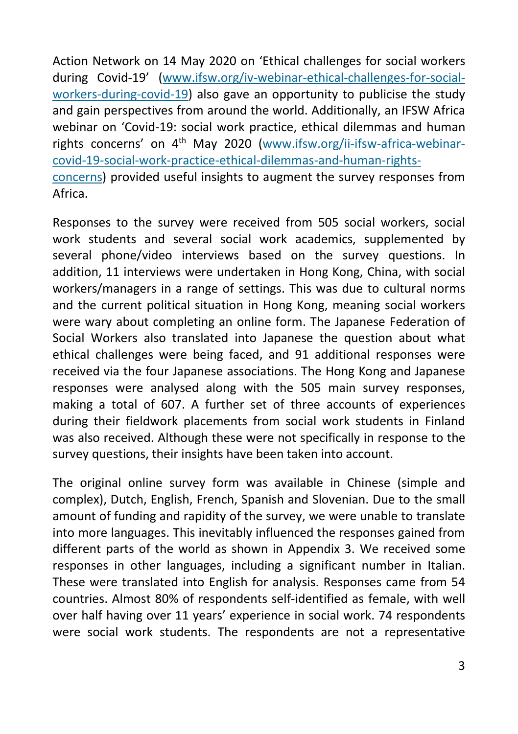Action Network on 14 May 2020 on 'Ethical challenges for social workers during Covid-19' [\(www.ifsw.org/iv-webinar-ethical-challenges-for-social](http://www.ifsw.org/iv-webinar-ethical-challenges-for-social-workers-during-covid-19/)[workers-during-covid-19\)](http://www.ifsw.org/iv-webinar-ethical-challenges-for-social-workers-during-covid-19/) also gave an opportunity to publicise the study and gain perspectives from around the world. Additionally, an IFSW Africa webinar on 'Covid-19: social work practice, ethical dilemmas and human rights concerns' on 4th May 2020 [\(www.ifsw.org/ii-ifsw-africa-webinar](http://www.ifsw.org/ii-ifsw-africa-webinar-covid-19-social-work-practice-ethical-dilemmas-and-human-rights-concerns/)[covid-19-social-work-practice-ethical-dilemmas-and-human-rights](http://www.ifsw.org/ii-ifsw-africa-webinar-covid-19-social-work-practice-ethical-dilemmas-and-human-rights-concerns/)[concerns\)](http://www.ifsw.org/ii-ifsw-africa-webinar-covid-19-social-work-practice-ethical-dilemmas-and-human-rights-concerns/) provided useful insights to augment the survey responses from Africa.

Responses to the survey were received from 505 social workers, social work students and several social work academics, supplemented by several phone/video interviews based on the survey questions. In addition, 11 interviews were undertaken in Hong Kong, China, with social workers/managers in a range of settings. This was due to cultural norms and the current political situation in Hong Kong, meaning social workers were wary about completing an online form. The Japanese Federation of Social Workers also translated into Japanese the question about what ethical challenges were being faced, and 91 additional responses were received via the four Japanese associations. The Hong Kong and Japanese responses were analysed along with the 505 main survey responses, making a total of 607. A further set of three accounts of experiences during their fieldwork placements from social work students in Finland was also received. Although these were not specifically in response to the survey questions, their insights have been taken into account.

The original online survey form was available in Chinese (simple and complex), Dutch, English, French, Spanish and Slovenian. Due to the small amount of funding and rapidity of the survey, we were unable to translate into more languages. This inevitably influenced the responses gained from different parts of the world as shown in Appendix 3. We received some responses in other languages, including a significant number in Italian. These were translated into English for analysis. Responses came from 54 countries. Almost 80% of respondents self-identified as female, with well over half having over 11 years' experience in social work. 74 respondents were social work students. The respondents are not a representative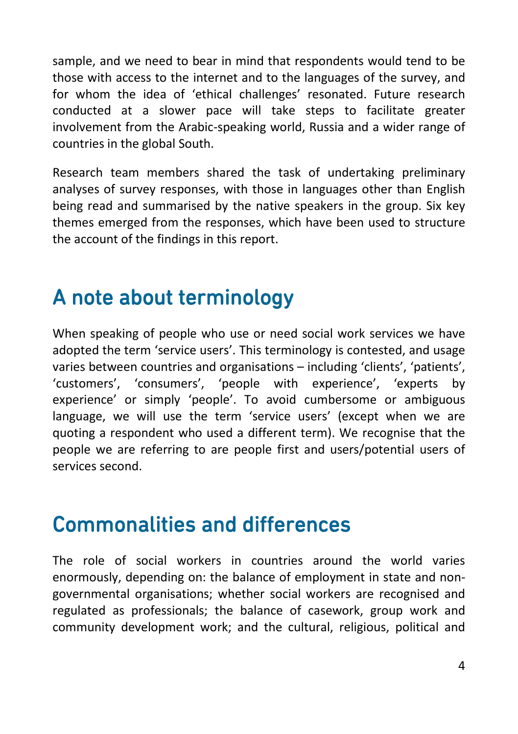sample, and we need to bear in mind that respondents would tend to be those with access to the internet and to the languages of the survey, and for whom the idea of 'ethical challenges' resonated. Future research conducted at a slower pace will take steps to facilitate greater involvement from the Arabic-speaking world, Russia and a wider range of countries in the global South.

Research team members shared the task of undertaking preliminary analyses of survey responses, with those in languages other than English being read and summarised by the native speakers in the group. Six key themes emerged from the responses, which have been used to structure the account of the findings in this report.

## <span id="page-10-0"></span>A note about terminology

When speaking of people who use or need social work services we have adopted the term 'service users'. This terminology is contested, and usage varies between countries and organisations – including 'clients', 'patients', 'customers', 'consumers', 'people with experience', 'experts by experience' or simply 'people'. To avoid cumbersome or ambiguous language, we will use the term 'service users' (except when we are quoting a respondent who used a different term). We recognise that the people we are referring to are people first and users/potential users of services second.

## <span id="page-10-1"></span>Commonalities and differences

The role of social workers in countries around the world varies enormously, depending on: the balance of employment in state and nongovernmental organisations; whether social workers are recognised and regulated as professionals; the balance of casework, group work and community development work; and the cultural, religious, political and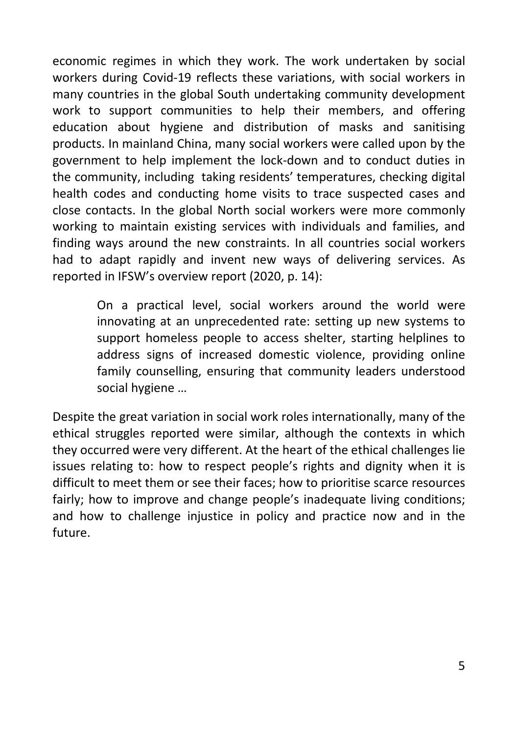economic regimes in which they work. The work undertaken by social workers during Covid-19 reflects these variations, with social workers in many countries in the global South undertaking community development work to support communities to help their members, and offering education about hygiene and distribution of masks and sanitising products. In mainland China, many social workers were called upon by the government to help implement the lock-down and to conduct duties in the community, including taking residents' temperatures, checking digital health codes and conducting home visits to trace suspected cases and close contacts. In the global North social workers were more commonly working to maintain existing services with individuals and families, and finding ways around the new constraints. In all countries social workers had to adapt rapidly and invent new ways of delivering services. As reported in IFSW's overview report (2020, p. 14):

> On a practical level, social workers around the world were innovating at an unprecedented rate: setting up new systems to support homeless people to access shelter, starting helplines to address signs of increased domestic violence, providing online family counselling, ensuring that community leaders understood social hygiene …

Despite the great variation in social work roles internationally, many of the ethical struggles reported were similar, although the contexts in which they occurred were very different. At the heart of the ethical challenges lie issues relating to: how to respect people's rights and dignity when it is difficult to meet them or see their faces; how to prioritise scarce resources fairly; how to improve and change people's inadequate living conditions; and how to challenge injustice in policy and practice now and in the future.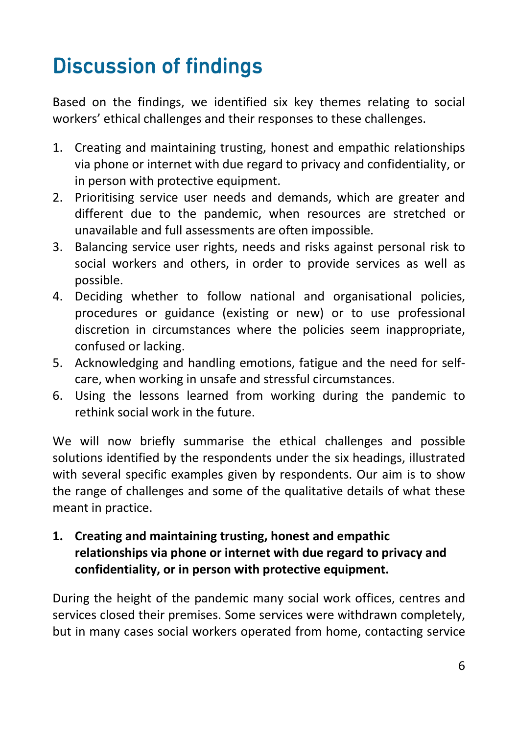# <span id="page-12-0"></span>Discussion of findings

Based on the findings, we identified six key themes relating to social workers' ethical challenges and their responses to these challenges.

- 1. Creating and maintaining trusting, honest and empathic relationships via phone or internet with due regard to privacy and confidentiality, or in person with protective equipment.
- 2. Prioritising service user needs and demands, which are greater and different due to the pandemic, when resources are stretched or unavailable and full assessments are often impossible.
- 3. Balancing service user rights, needs and risks against personal risk to social workers and others, in order to provide services as well as possible.
- 4. Deciding whether to follow national and organisational policies, procedures or guidance (existing or new) or to use professional discretion in circumstances where the policies seem inappropriate, confused or lacking.
- 5. Acknowledging and handling emotions, fatigue and the need for selfcare, when working in unsafe and stressful circumstances.
- 6. Using the lessons learned from working during the pandemic to rethink social work in the future.

We will now briefly summarise the ethical challenges and possible solutions identified by the respondents under the six headings, illustrated with several specific examples given by respondents. Our aim is to show the range of challenges and some of the qualitative details of what these meant in practice.

## **1. Creating and maintaining trusting, honest and empathic relationships via phone or internet with due regard to privacy and confidentiality, or in person with protective equipment.**

During the height of the pandemic many social work offices, centres and services closed their premises. Some services were withdrawn completely, but in many cases social workers operated from home, contacting service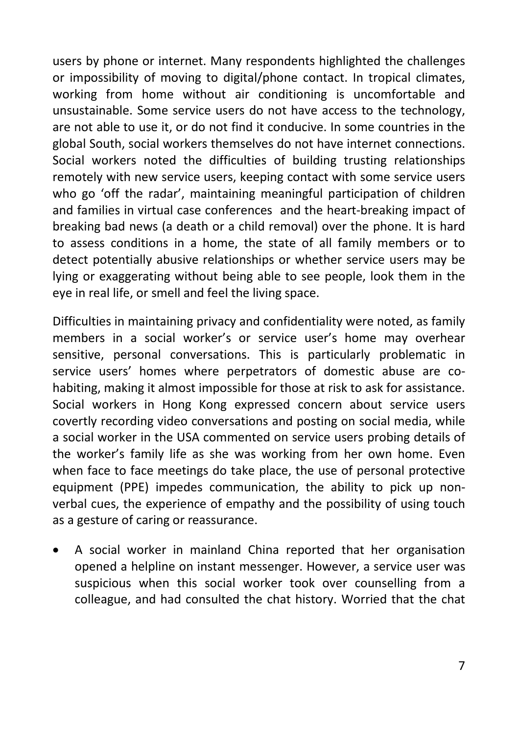users by phone or internet. Many respondents highlighted the challenges or impossibility of moving to digital/phone contact. In tropical climates, working from home without air conditioning is uncomfortable and unsustainable. Some service users do not have access to the technology, are not able to use it, or do not find it conducive. In some countries in the global South, social workers themselves do not have internet connections. Social workers noted the difficulties of building trusting relationships remotely with new service users, keeping contact with some service users who go 'off the radar', maintaining meaningful participation of children and families in virtual case conferences and the heart-breaking impact of breaking bad news (a death or a child removal) over the phone. It is hard to assess conditions in a home, the state of all family members or to detect potentially abusive relationships or whether service users may be lying or exaggerating without being able to see people, look them in the eye in real life, or smell and feel the living space.

Difficulties in maintaining privacy and confidentiality were noted, as family members in a social worker's or service user's home may overhear sensitive, personal conversations. This is particularly problematic in service users' homes where perpetrators of domestic abuse are cohabiting, making it almost impossible for those at risk to ask for assistance. Social workers in Hong Kong expressed concern about service users covertly recording video conversations and posting on social media, while a social worker in the USA commented on service users probing details of the worker's family life as she was working from her own home. Even when face to face meetings do take place, the use of personal protective equipment (PPE) impedes communication, the ability to pick up nonverbal cues, the experience of empathy and the possibility of using touch as a gesture of caring or reassurance.

• A social worker in mainland China reported that her organisation opened a helpline on instant messenger. However, a service user was suspicious when this social worker took over counselling from a colleague, and had consulted the chat history. Worried that the chat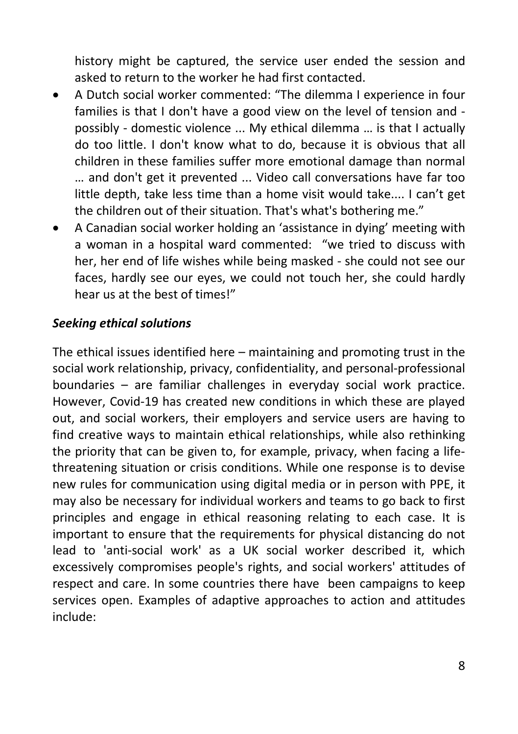history might be captured, the service user ended the session and asked to return to the worker he had first contacted.

- A Dutch social worker commented: "The dilemma I experience in four families is that I don't have a good view on the level of tension and possibly - domestic violence ... My ethical dilemma … is that I actually do too little. I don't know what to do, because it is obvious that all children in these families suffer more emotional damage than normal … and don't get it prevented ... Video call conversations have far too little depth, take less time than a home visit would take.... I can't get the children out of their situation. That's what's bothering me."
- A Canadian social worker holding an 'assistance in dying' meeting with a woman in a hospital ward commented: "we tried to discuss with her, her end of life wishes while being masked - she could not see our faces, hardly see our eyes, we could not touch her, she could hardly hear us at the best of times!"

#### *Seeking ethical solutions*

The ethical issues identified here – maintaining and promoting trust in the social work relationship, privacy, confidentiality, and personal-professional boundaries – are familiar challenges in everyday social work practice. However, Covid-19 has created new conditions in which these are played out, and social workers, their employers and service users are having to find creative ways to maintain ethical relationships, while also rethinking the priority that can be given to, for example, privacy, when facing a lifethreatening situation or crisis conditions. While one response is to devise new rules for communication using digital media or in person with PPE, it may also be necessary for individual workers and teams to go back to first principles and engage in ethical reasoning relating to each case. It is important to ensure that the requirements for physical distancing do not lead to 'anti-social work' as a UK social worker described it, which excessively compromises people's rights, and social workers' attitudes of respect and care. In some countries there have been campaigns to keep services open. Examples of adaptive approaches to action and attitudes include: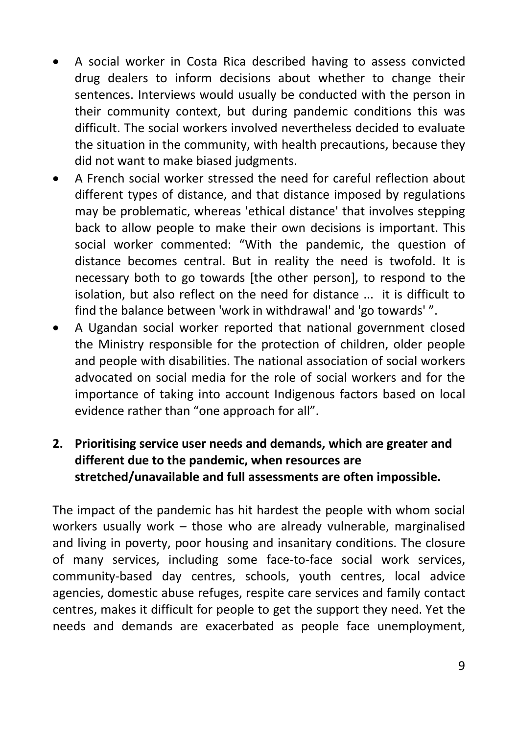- A social worker in Costa Rica described having to assess convicted drug dealers to inform decisions about whether to change their sentences. Interviews would usually be conducted with the person in their community context, but during pandemic conditions this was difficult. The social workers involved nevertheless decided to evaluate the situation in the community, with health precautions, because they did not want to make biased judgments.
- A French social worker stressed the need for careful reflection about different types of distance, and that distance imposed by regulations may be problematic, whereas 'ethical distance' that involves stepping back to allow people to make their own decisions is important. This social worker commented: "With the pandemic, the question of distance becomes central. But in reality the need is twofold. It is necessary both to go towards [the other person], to respond to the isolation, but also reflect on the need for distance ... it is difficult to find the balance between 'work in withdrawal' and 'go towards' ".
- A Ugandan social worker reported that national government closed the Ministry responsible for the protection of children, older people and people with disabilities. The national association of social workers advocated on social media for the role of social workers and for the importance of taking into account Indigenous factors based on local evidence rather than "one approach for all".

## **2. Prioritising service user needs and demands, which are greater and different due to the pandemic, when resources are stretched/unavailable and full assessments are often impossible.**

The impact of the pandemic has hit hardest the people with whom social workers usually work – those who are already vulnerable, marginalised and living in poverty, poor housing and insanitary conditions. The closure of many services, including some face-to-face social work services, community-based day centres, schools, youth centres, local advice agencies, domestic abuse refuges, respite care services and family contact centres, makes it difficult for people to get the support they need. Yet the needs and demands are exacerbated as people face unemployment,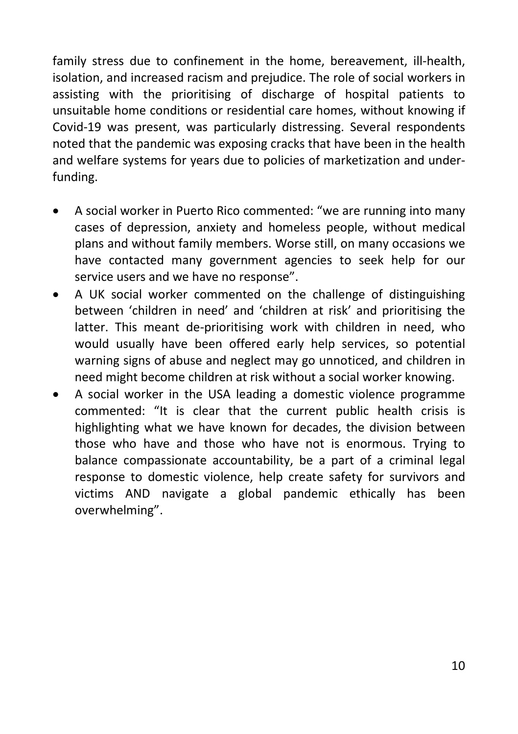family stress due to confinement in the home, bereavement, ill-health, isolation, and increased racism and prejudice. The role of social workers in assisting with the prioritising of discharge of hospital patients to unsuitable home conditions or residential care homes, without knowing if Covid-19 was present, was particularly distressing. Several respondents noted that the pandemic was exposing cracks that have been in the health and welfare systems for years due to policies of marketization and underfunding.

- A social worker in Puerto Rico commented: "we are running into many cases of depression, anxiety and homeless people, without medical plans and without family members. Worse still, on many occasions we have contacted many government agencies to seek help for our service users and we have no response".
- A UK social worker commented on the challenge of distinguishing between 'children in need' and 'children at risk' and prioritising the latter. This meant de-prioritising work with children in need, who would usually have been offered early help services, so potential warning signs of abuse and neglect may go unnoticed, and children in need might become children at risk without a social worker knowing.
- A social worker in the USA leading a domestic violence programme commented: "It is clear that the current public health crisis is highlighting what we have known for decades, the division between those who have and those who have not is enormous. Trying to balance compassionate accountability, be a part of a criminal legal response to domestic violence, help create safety for survivors and victims AND navigate a global pandemic ethically has been overwhelming".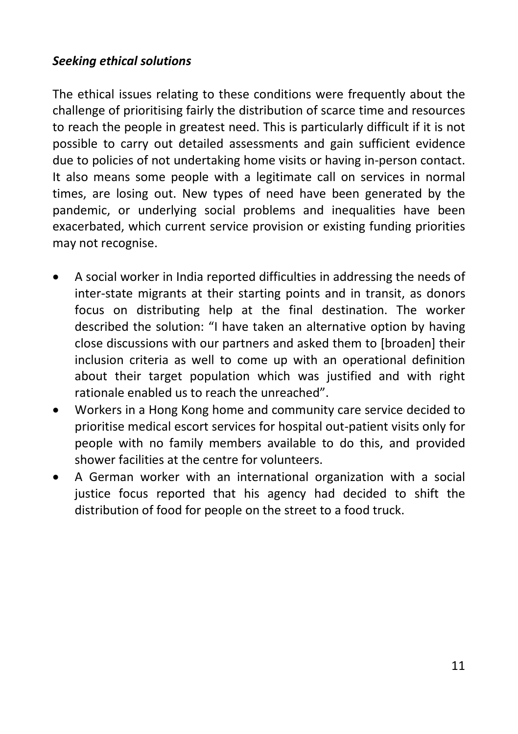#### *Seeking ethical solutions*

The ethical issues relating to these conditions were frequently about the challenge of prioritising fairly the distribution of scarce time and resources to reach the people in greatest need. This is particularly difficult if it is not possible to carry out detailed assessments and gain sufficient evidence due to policies of not undertaking home visits or having in-person contact. It also means some people with a legitimate call on services in normal times, are losing out. New types of need have been generated by the pandemic, or underlying social problems and inequalities have been exacerbated, which current service provision or existing funding priorities may not recognise.

- A social worker in India reported difficulties in addressing the needs of inter-state migrants at their starting points and in transit, as donors focus on distributing help at the final destination. The worker described the solution: "I have taken an alternative option by having close discussions with our partners and asked them to [broaden] their inclusion criteria as well to come up with an operational definition about their target population which was justified and with right rationale enabled us to reach the unreached".
- Workers in a Hong Kong home and community care service decided to prioritise medical escort services for hospital out-patient visits only for people with no family members available to do this, and provided shower facilities at the centre for volunteers.
- A German worker with an international organization with a social justice focus reported that his agency had decided to shift the distribution of food for people on the street to a food truck.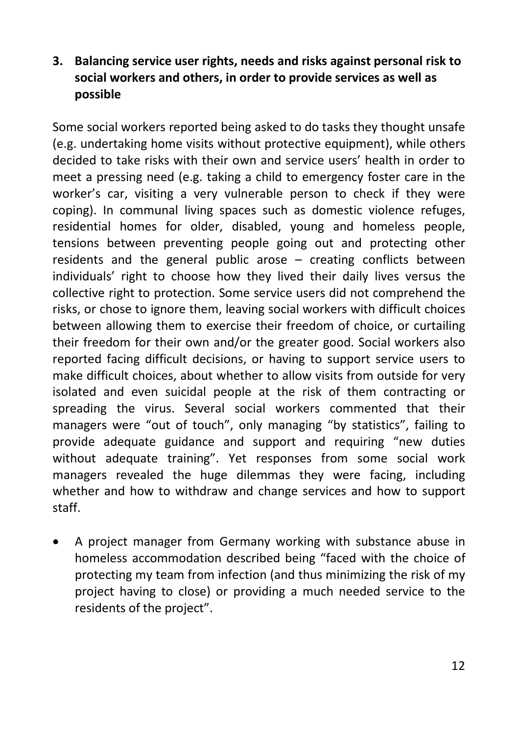### **3. Balancing service user rights, needs and risks against personal risk to social workers and others, in order to provide services as well as possible**

Some social workers reported being asked to do tasks they thought unsafe (e.g. undertaking home visits without protective equipment), while others decided to take risks with their own and service users' health in order to meet a pressing need (e.g. taking a child to emergency foster care in the worker's car, visiting a very vulnerable person to check if they were coping). In communal living spaces such as domestic violence refuges, residential homes for older, disabled, young and homeless people, tensions between preventing people going out and protecting other residents and the general public arose – creating conflicts between individuals' right to choose how they lived their daily lives versus the collective right to protection. Some service users did not comprehend the risks, or chose to ignore them, leaving social workers with difficult choices between allowing them to exercise their freedom of choice, or curtailing their freedom for their own and/or the greater good. Social workers also reported facing difficult decisions, or having to support service users to make difficult choices, about whether to allow visits from outside for very isolated and even suicidal people at the risk of them contracting or spreading the virus. Several social workers commented that their managers were "out of touch", only managing "by statistics", failing to provide adequate guidance and support and requiring "new duties without adequate training". Yet responses from some social work managers revealed the huge dilemmas they were facing, including whether and how to withdraw and change services and how to support staff.

• A project manager from Germany working with substance abuse in homeless accommodation described being "faced with the choice of protecting my team from infection (and thus minimizing the risk of my project having to close) or providing a much needed service to the residents of the project".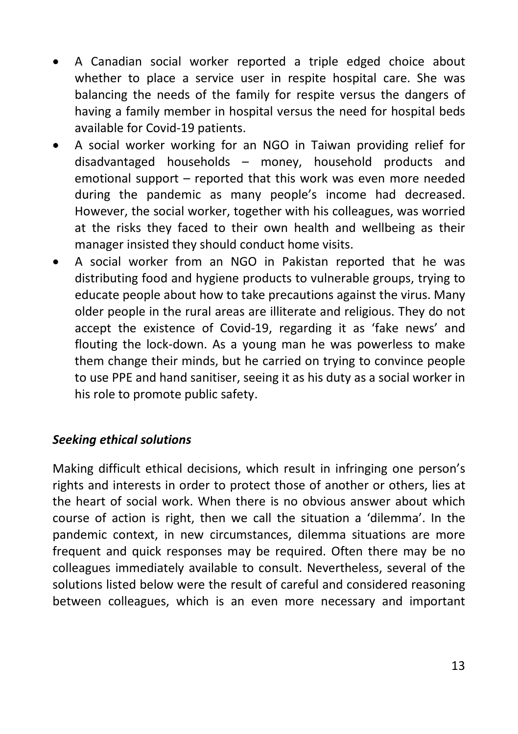- A Canadian social worker reported a triple edged choice about whether to place a service user in respite hospital care. She was balancing the needs of the family for respite versus the dangers of having a family member in hospital versus the need for hospital beds available for Covid-19 patients.
- A social worker working for an NGO in Taiwan providing relief for disadvantaged households – money, household products and emotional support – reported that this work was even more needed during the pandemic as many people's income had decreased. However, the social worker, together with his colleagues, was worried at the risks they faced to their own health and wellbeing as their manager insisted they should conduct home visits.
- A social worker from an NGO in Pakistan reported that he was distributing food and hygiene products to vulnerable groups, trying to educate people about how to take precautions against the virus. Many older people in the rural areas are illiterate and religious. They do not accept the existence of Covid-19, regarding it as 'fake news' and flouting the lock-down. As a young man he was powerless to make them change their minds, but he carried on trying to convince people to use PPE and hand sanitiser, seeing it as his duty as a social worker in his role to promote public safety.

### *Seeking ethical solutions*

Making difficult ethical decisions, which result in infringing one person's rights and interests in order to protect those of another or others, lies at the heart of social work. When there is no obvious answer about which course of action is right, then we call the situation a 'dilemma'. In the pandemic context, in new circumstances, dilemma situations are more frequent and quick responses may be required. Often there may be no colleagues immediately available to consult. Nevertheless, several of the solutions listed below were the result of careful and considered reasoning between colleagues, which is an even more necessary and important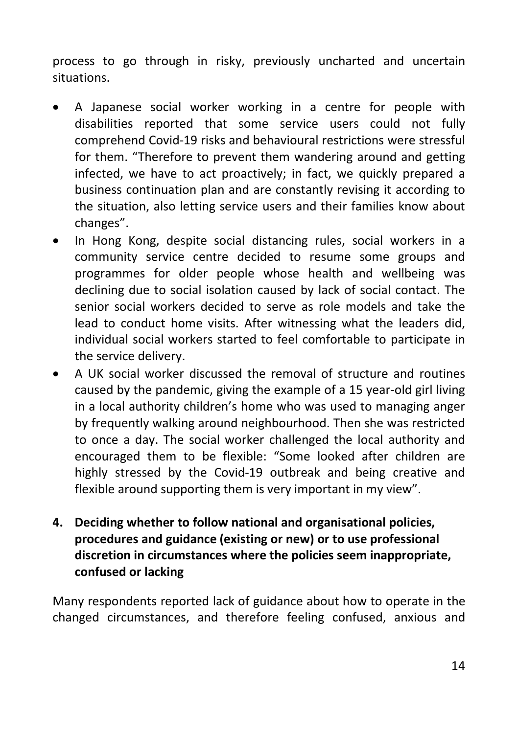process to go through in risky, previously uncharted and uncertain situations.

- A Japanese social worker working in a centre for people with disabilities reported that some service users could not fully comprehend Covid-19 risks and behavioural restrictions were stressful for them. "Therefore to prevent them wandering around and getting infected, we have to act proactively; in fact, we quickly prepared a business continuation plan and are constantly revising it according to the situation, also letting service users and their families know about changes".
- In Hong Kong, despite social distancing rules, social workers in a community service centre decided to resume some groups and programmes for older people whose health and wellbeing was declining due to social isolation caused by lack of social contact. The senior social workers decided to serve as role models and take the lead to conduct home visits. After witnessing what the leaders did, individual social workers started to feel comfortable to participate in the service delivery.
- A UK social worker discussed the removal of structure and routines caused by the pandemic, giving the example of a 15 year-old girl living in a local authority children's home who was used to managing anger by frequently walking around neighbourhood. Then she was restricted to once a day. The social worker challenged the local authority and encouraged them to be flexible: "Some looked after children are highly stressed by the Covid-19 outbreak and being creative and flexible around supporting them is very important in my view".
- **4. Deciding whether to follow national and organisational policies, procedures and guidance (existing or new) or to use professional discretion in circumstances where the policies seem inappropriate, confused or lacking**

Many respondents reported lack of guidance about how to operate in the changed circumstances, and therefore feeling confused, anxious and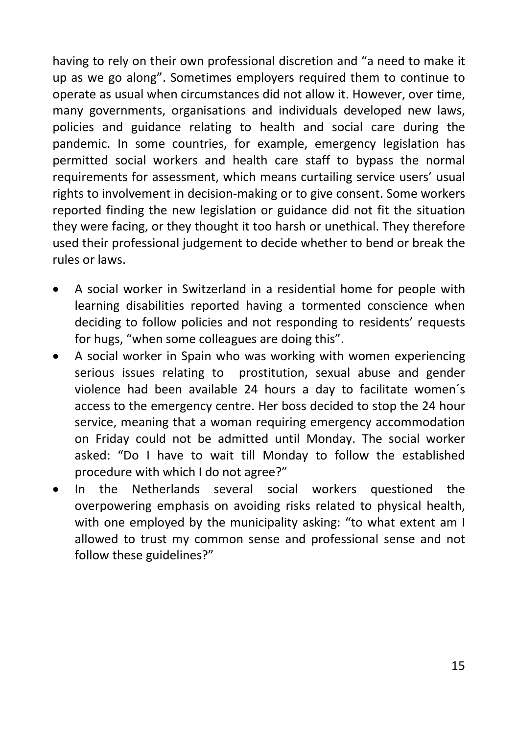having to rely on their own professional discretion and "a need to make it up as we go along". Sometimes employers required them to continue to operate as usual when circumstances did not allow it. However, over time, many governments, organisations and individuals developed new laws, policies and guidance relating to health and social care during the pandemic. In some countries, for example, emergency legislation has permitted social workers and health care staff to bypass the normal requirements for assessment, which means curtailing service users' usual rights to involvement in decision-making or to give consent. Some workers reported finding the new legislation or guidance did not fit the situation they were facing, or they thought it too harsh or unethical. They therefore used their professional judgement to decide whether to bend or break the rules or laws.

- A social worker in Switzerland in a residential home for people with learning disabilities reported having a tormented conscience when deciding to follow policies and not responding to residents' requests for hugs, "when some colleagues are doing this".
- A social worker in Spain who was working with women experiencing serious issues relating to prostitution, sexual abuse and gender violence had been available 24 hours a day to facilitate women´s access to the emergency centre. Her boss decided to stop the 24 hour service, meaning that a woman requiring emergency accommodation on Friday could not be admitted until Monday. The social worker asked: "Do I have to wait till Monday to follow the established procedure with which I do not agree?"
- In the Netherlands several social workers questioned the overpowering emphasis on avoiding risks related to physical health, with one employed by the municipality asking: "to what extent am I allowed to trust my common sense and professional sense and not follow these guidelines?"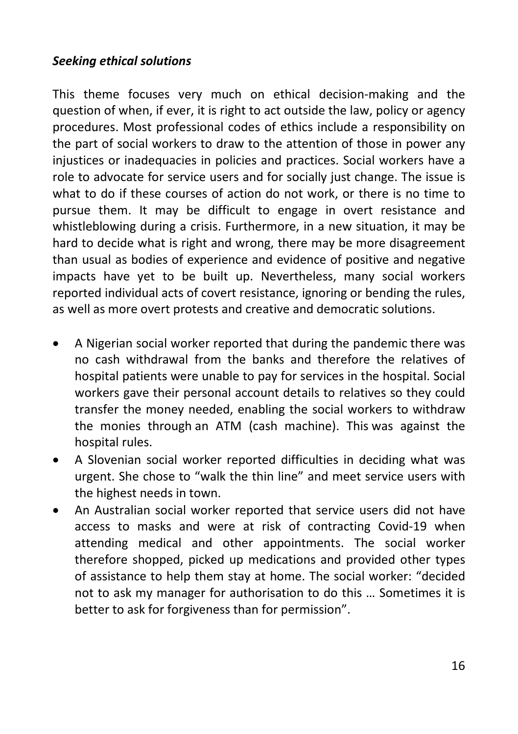#### *Seeking ethical solutions*

This theme focuses very much on ethical decision-making and the question of when, if ever, it is right to act outside the law, policy or agency procedures. Most professional codes of ethics include a responsibility on the part of social workers to draw to the attention of those in power any injustices or inadequacies in policies and practices. Social workers have a role to advocate for service users and for socially just change. The issue is what to do if these courses of action do not work, or there is no time to pursue them. It may be difficult to engage in overt resistance and whistleblowing during a crisis. Furthermore, in a new situation, it may be hard to decide what is right and wrong, there may be more disagreement than usual as bodies of experience and evidence of positive and negative impacts have yet to be built up. Nevertheless, many social workers reported individual acts of covert resistance, ignoring or bending the rules, as well as more overt protests and creative and democratic solutions.

- A Nigerian social worker reported that during the pandemic there was no cash withdrawal from the banks and therefore the relatives of hospital patients were unable to pay for services in the hospital. Social workers gave their personal account details to relatives so they could transfer the money needed, enabling the social workers to withdraw the monies through an ATM (cash machine). This was against the hospital rules.
- A Slovenian social worker reported difficulties in deciding what was urgent. She chose to "walk the thin line" and meet service users with the highest needs in town.
- An Australian social worker reported that service users did not have access to masks and were at risk of contracting Covid-19 when attending medical and other appointments. The social worker therefore shopped, picked up medications and provided other types of assistance to help them stay at home. The social worker: "decided not to ask my manager for authorisation to do this … Sometimes it is better to ask for forgiveness than for permission".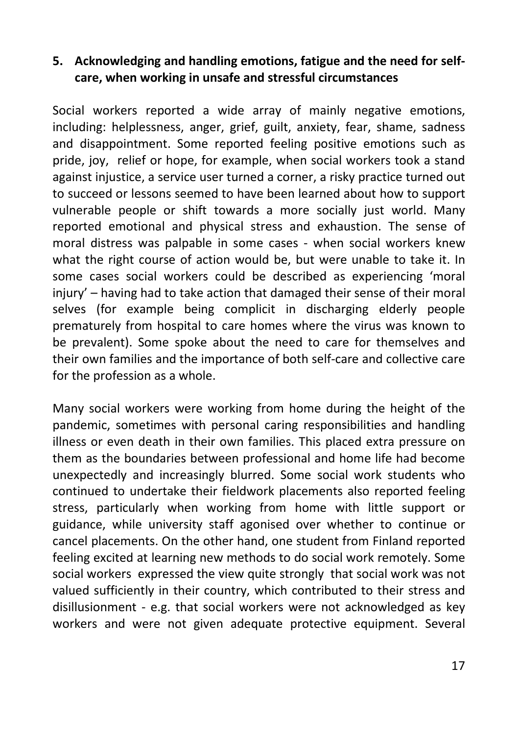### **5. Acknowledging and handling emotions, fatigue and the need for selfcare, when working in unsafe and stressful circumstances**

Social workers reported a wide array of mainly negative emotions, including: helplessness, anger, grief, guilt, anxiety, fear, shame, sadness and disappointment. Some reported feeling positive emotions such as pride, joy, relief or hope, for example, when social workers took a stand against injustice, a service user turned a corner, a risky practice turned out to succeed or lessons seemed to have been learned about how to support vulnerable people or shift towards a more socially just world. Many reported emotional and physical stress and exhaustion. The sense of moral distress was palpable in some cases - when social workers knew what the right course of action would be, but were unable to take it. In some cases social workers could be described as experiencing 'moral injury' – having had to take action that damaged their sense of their moral selves (for example being complicit in discharging elderly people prematurely from hospital to care homes where the virus was known to be prevalent). Some spoke about the need to care for themselves and their own families and the importance of both self-care and collective care for the profession as a whole.

Many social workers were working from home during the height of the pandemic, sometimes with personal caring responsibilities and handling illness or even death in their own families. This placed extra pressure on them as the boundaries between professional and home life had become unexpectedly and increasingly blurred. Some social work students who continued to undertake their fieldwork placements also reported feeling stress, particularly when working from home with little support or guidance, while university staff agonised over whether to continue or cancel placements. On the other hand, one student from Finland reported feeling excited at learning new methods to do social work remotely. Some social workers expressed the view quite strongly that social work was not valued sufficiently in their country, which contributed to their stress and disillusionment - e.g. that social workers were not acknowledged as key workers and were not given adequate protective equipment. Several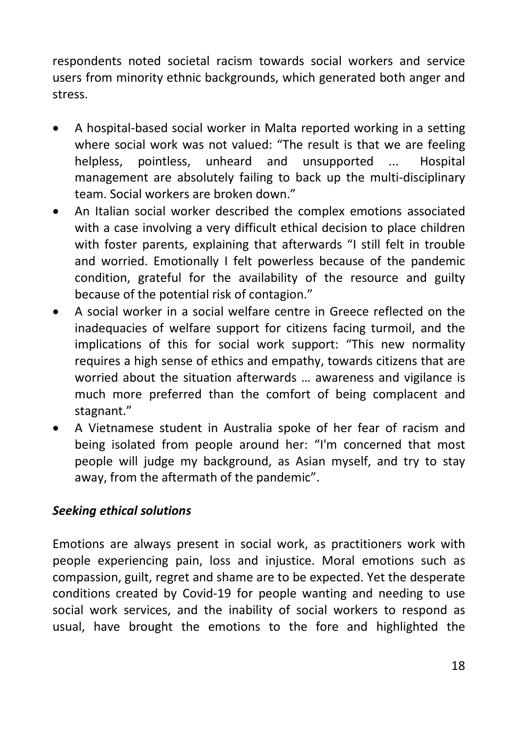respondents noted societal racism towards social workers and service users from minority ethnic backgrounds, which generated both anger and stress.

- A hospital-based social worker in Malta reported working in a setting where social work was not valued: "The result is that we are feeling helpless, pointless, unheard and unsupported ... Hospital management are absolutely failing to back up the multi-disciplinary team. Social workers are broken down."
- An Italian social worker described the complex emotions associated with a case involving a very difficult ethical decision to place children with foster parents, explaining that afterwards "I still felt in trouble and worried. Emotionally I felt powerless because of the pandemic condition, grateful for the availability of the resource and guilty because of the potential risk of contagion."
- A social worker in a social welfare centre in Greece reflected on the inadequacies of welfare support for citizens facing turmoil, and the implications of this for social work support: "This new normality requires a high sense of ethics and empathy, towards citizens that are worried about the situation afterwards … awareness and vigilance is much more preferred than the comfort of being complacent and stagnant."
- A Vietnamese student in Australia spoke of her fear of racism and being isolated from people around her: "I'm concerned that most people will judge my background, as Asian myself, and try to stay away, from the aftermath of the pandemic".

#### *Seeking ethical solutions*

Emotions are always present in social work, as practitioners work with people experiencing pain, loss and injustice. Moral emotions such as compassion, guilt, regret and shame are to be expected. Yet the desperate conditions created by Covid-19 for people wanting and needing to use social work services, and the inability of social workers to respond as usual, have brought the emotions to the fore and highlighted the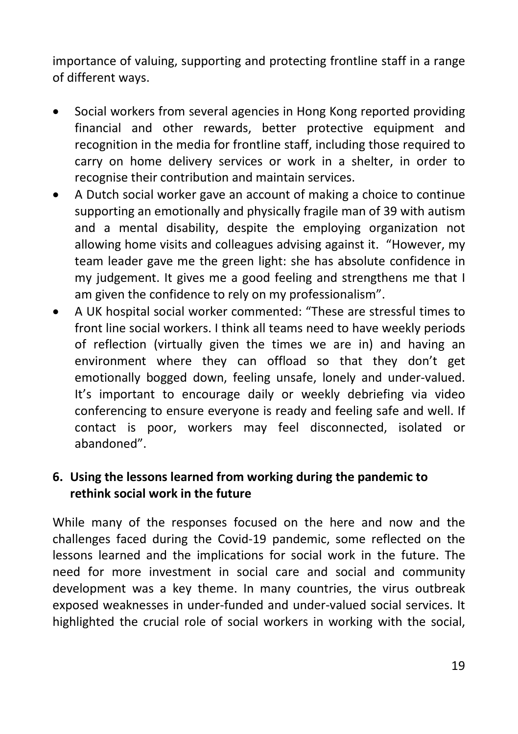importance of valuing, supporting and protecting frontline staff in a range of different ways.

- Social workers from several agencies in Hong Kong reported providing financial and other rewards, better protective equipment and recognition in the media for frontline staff, including those required to carry on home delivery services or work in a shelter, in order to recognise their contribution and maintain services.
- A Dutch social worker gave an account of making a choice to continue supporting an emotionally and physically fragile man of 39 with autism and a mental disability, despite the employing organization not allowing home visits and colleagues advising against it. "However, my team leader gave me the green light: she has absolute confidence in my judgement. It gives me a good feeling and strengthens me that I am given the confidence to rely on my professionalism".
- A UK hospital social worker commented: "These are stressful times to front line social workers. I think all teams need to have weekly periods of reflection (virtually given the times we are in) and having an environment where they can offload so that they don't get emotionally bogged down, feeling unsafe, lonely and under-valued. It's important to encourage daily or weekly debriefing via video conferencing to ensure everyone is ready and feeling safe and well. If contact is poor, workers may feel disconnected, isolated or abandoned".

### **6. Using the lessons learned from working during the pandemic to rethink social work in the future**

While many of the responses focused on the here and now and the challenges faced during the Covid-19 pandemic, some reflected on the lessons learned and the implications for social work in the future. The need for more investment in social care and social and community development was a key theme. In many countries, the virus outbreak exposed weaknesses in under-funded and under-valued social services. It highlighted the crucial role of social workers in working with the social,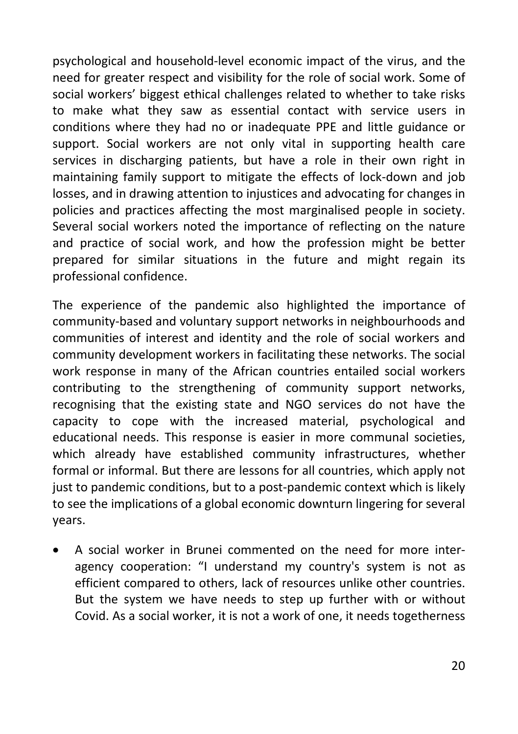psychological and household-level economic impact of the virus, and the need for greater respect and visibility for the role of social work. Some of social workers' biggest ethical challenges related to whether to take risks to make what they saw as essential contact with service users in conditions where they had no or inadequate PPE and little guidance or support. Social workers are not only vital in supporting health care services in discharging patients, but have a role in their own right in maintaining family support to mitigate the effects of lock-down and job losses, and in drawing attention to injustices and advocating for changes in policies and practices affecting the most marginalised people in society. Several social workers noted the importance of reflecting on the nature and practice of social work, and how the profession might be better prepared for similar situations in the future and might regain its professional confidence.

The experience of the pandemic also highlighted the importance of community-based and voluntary support networks in neighbourhoods and communities of interest and identity and the role of social workers and community development workers in facilitating these networks. The social work response in many of the African countries entailed social workers contributing to the strengthening of community support networks, recognising that the existing state and NGO services do not have the capacity to cope with the increased material, psychological and educational needs. This response is easier in more communal societies, which already have established community infrastructures, whether formal or informal. But there are lessons for all countries, which apply not just to pandemic conditions, but to a post-pandemic context which is likely to see the implications of a global economic downturn lingering for several years.

• A social worker in Brunei commented on the need for more interagency cooperation: "I understand my country's system is not as efficient compared to others, lack of resources unlike other countries. But the system we have needs to step up further with or without Covid. As a social worker, it is not a work of one, it needs togetherness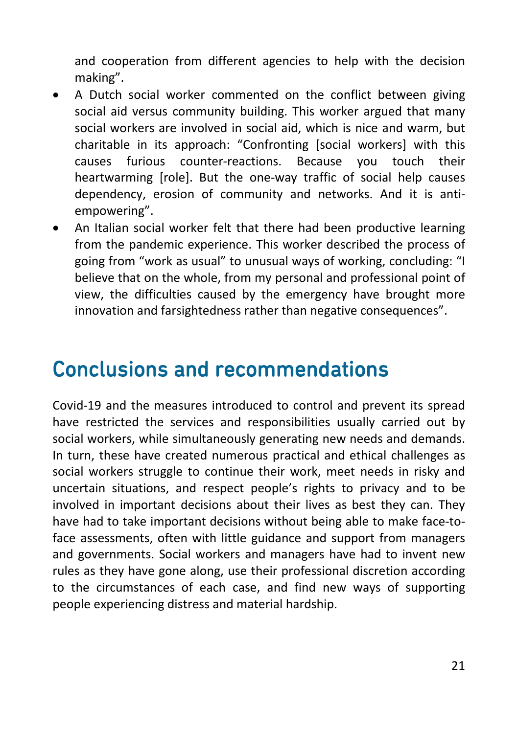and cooperation from different agencies to help with the decision making".

- A Dutch social worker commented on the conflict between giving social aid versus community building. This worker argued that many social workers are involved in social aid, which is nice and warm, but charitable in its approach: "Confronting [social workers] with this causes furious counter-reactions. Because you touch their heartwarming [role]. But the one-way traffic of social help causes dependency, erosion of community and networks. And it is antiempowering".
- An Italian social worker felt that there had been productive learning from the pandemic experience. This worker described the process of going from "work as usual" to unusual ways of working, concluding: "I believe that on the whole, from my personal and professional point of view, the difficulties caused by the emergency have brought more innovation and farsightedness rather than negative consequences".

## <span id="page-27-0"></span>Conclusions and recommendations

Covid-19 and the measures introduced to control and prevent its spread have restricted the services and responsibilities usually carried out by social workers, while simultaneously generating new needs and demands. In turn, these have created numerous practical and ethical challenges as social workers struggle to continue their work, meet needs in risky and uncertain situations, and respect people's rights to privacy and to be involved in important decisions about their lives as best they can. They have had to take important decisions without being able to make face-toface assessments, often with little guidance and support from managers and governments. Social workers and managers have had to invent new rules as they have gone along, use their professional discretion according to the circumstances of each case, and find new ways of supporting people experiencing distress and material hardship.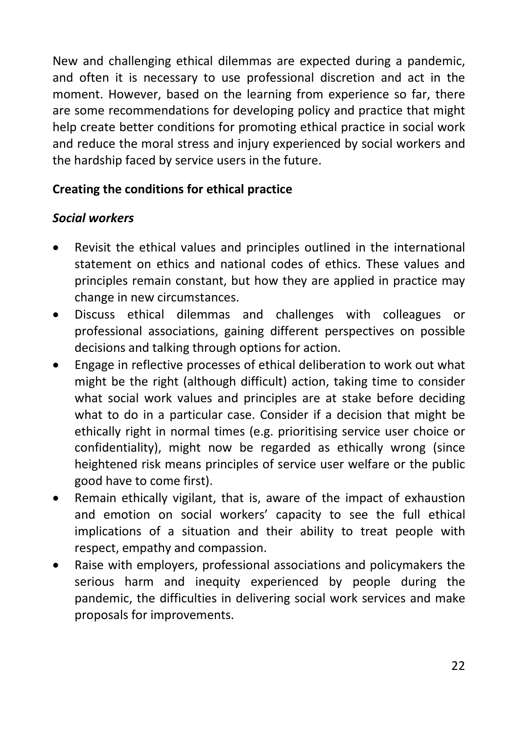New and challenging ethical dilemmas are expected during a pandemic, and often it is necessary to use professional discretion and act in the moment. However, based on the learning from experience so far, there are some recommendations for developing policy and practice that might help create better conditions for promoting ethical practice in social work and reduce the moral stress and injury experienced by social workers and the hardship faced by service users in the future.

### **Creating the conditions for ethical practice**

### *Social workers*

- Revisit the ethical values and principles outlined in the international statement on ethics and national codes of ethics. These values and principles remain constant, but how they are applied in practice may change in new circumstances.
- Discuss ethical dilemmas and challenges with colleagues or professional associations, gaining different perspectives on possible decisions and talking through options for action.
- Engage in reflective processes of ethical deliberation to work out what might be the right (although difficult) action, taking time to consider what social work values and principles are at stake before deciding what to do in a particular case. Consider if a decision that might be ethically right in normal times (e.g. prioritising service user choice or confidentiality), might now be regarded as ethically wrong (since heightened risk means principles of service user welfare or the public good have to come first).
- Remain ethically vigilant, that is, aware of the impact of exhaustion and emotion on social workers' capacity to see the full ethical implications of a situation and their ability to treat people with respect, empathy and compassion.
- Raise with employers, professional associations and policymakers the serious harm and inequity experienced by people during the pandemic, the difficulties in delivering social work services and make proposals for improvements.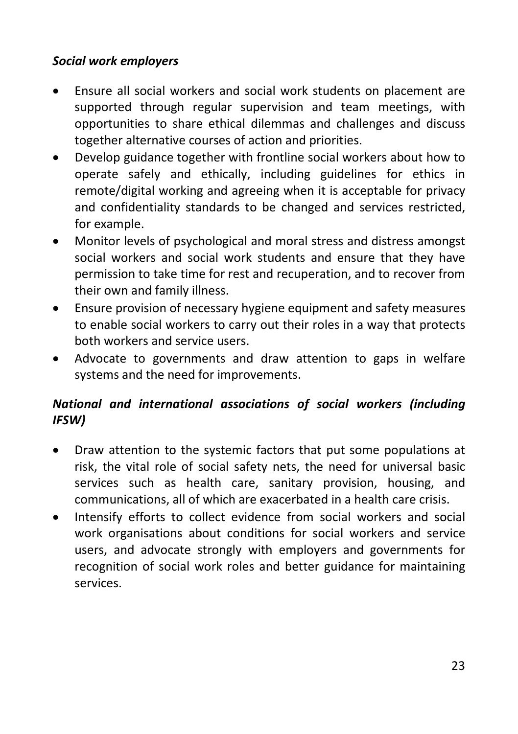#### *Social work employers*

- Ensure all social workers and social work students on placement are supported through regular supervision and team meetings, with opportunities to share ethical dilemmas and challenges and discuss together alternative courses of action and priorities.
- Develop guidance together with frontline social workers about how to operate safely and ethically, including guidelines for ethics in remote/digital working and agreeing when it is acceptable for privacy and confidentiality standards to be changed and services restricted, for example.
- Monitor levels of psychological and moral stress and distress amongst social workers and social work students and ensure that they have permission to take time for rest and recuperation, and to recover from their own and family illness.
- Ensure provision of necessary hygiene equipment and safety measures to enable social workers to carry out their roles in a way that protects both workers and service users.
- Advocate to governments and draw attention to gaps in welfare systems and the need for improvements.

## *National and international associations of social workers (including IFSW)*

- Draw attention to the systemic factors that put some populations at risk, the vital role of social safety nets, the need for universal basic services such as health care, sanitary provision, housing, and communications, all of which are exacerbated in a health care crisis.
- Intensify efforts to collect evidence from social workers and social work organisations about conditions for social workers and service users, and advocate strongly with employers and governments for recognition of social work roles and better guidance for maintaining services.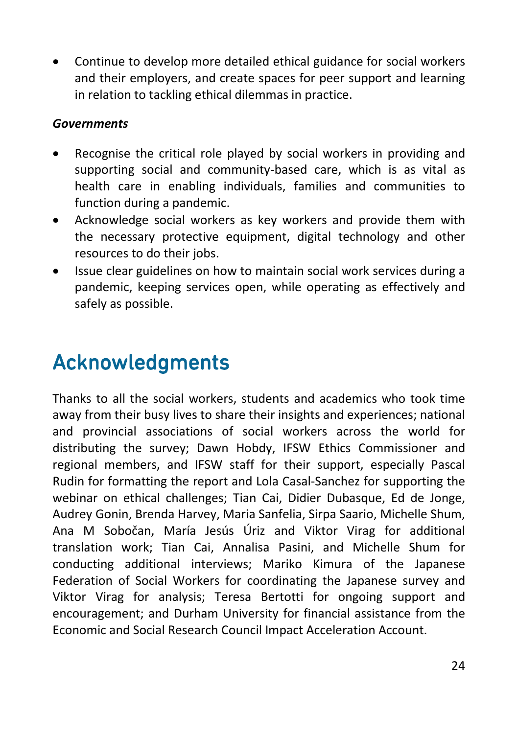• Continue to develop more detailed ethical guidance for social workers and their employers, and create spaces for peer support and learning in relation to tackling ethical dilemmas in practice.

#### *Governments*

- Recognise the critical role played by social workers in providing and supporting social and community-based care, which is as vital as health care in enabling individuals, families and communities to function during a pandemic.
- Acknowledge social workers as key workers and provide them with the necessary protective equipment, digital technology and other resources to do their jobs.
- Issue clear guidelines on how to maintain social work services during a pandemic, keeping services open, while operating as effectively and safely as possible.

## <span id="page-30-0"></span>Acknowledgments

Thanks to all the social workers, students and academics who took time away from their busy lives to share their insights and experiences; national and provincial associations of social workers across the world for distributing the survey; Dawn Hobdy, IFSW Ethics Commissioner and regional members, and IFSW staff for their support, especially Pascal Rudin for formatting the report and Lola Casal-Sanchez for supporting the webinar on ethical challenges; Tian Cai, Didier Dubasque, Ed de Jonge, Audrey Gonin, Brenda Harvey, Maria Sanfelia, Sirpa Saario, Michelle Shum, Ana M Sobočan, María Jesús Úriz and Viktor Virag for additional translation work; Tian Cai, Annalisa Pasini, and Michelle Shum for conducting additional interviews; Mariko Kimura of the Japanese Federation of Social Workers for coordinating the Japanese survey and Viktor Virag for analysis; Teresa Bertotti for ongoing support and encouragement; and Durham University for financial assistance from the Economic and Social Research Council Impact Acceleration Account.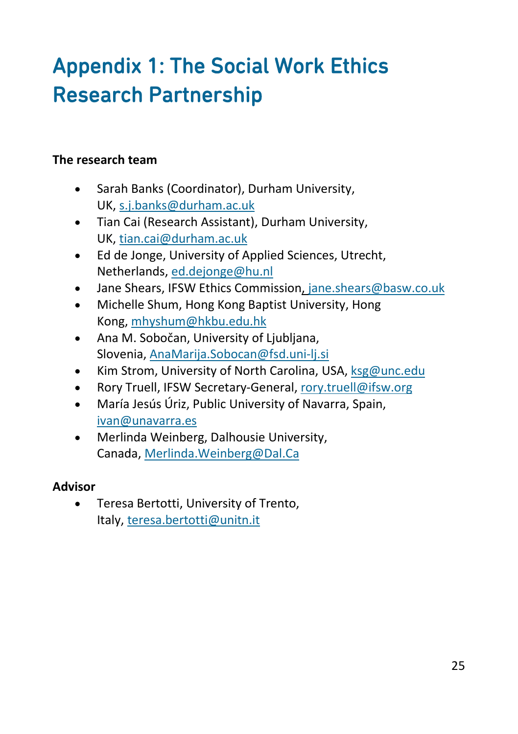# <span id="page-31-0"></span>Appendix 1: The Social Work Ethics Research Partnership

#### **The research team**

- Sarah Banks (Coordinator), Durham University, UK, [s.j.banks@durham.ac.uk](mailto:s.j.banks@durham.ac.uk)
- Tian Cai (Research Assistant), Durham University, UK, [tian.cai@durham.ac.uk](mailto:tian.cai@durham.ac.uk)
- Ed de Jonge, University of Applied Sciences, Utrecht, Netherlands, [ed.dejonge@hu.nl](mailto:ed.dejonge@hu.nl)
- Jane Shears, IFSW Ethics Commission, [jane.shears@basw.co.uk](mailto:jane.shears@basw.co.uk)
- Michelle Shum, Hong Kong Baptist University, Hong Kong, [mhyshum@hkbu.edu.hk](mailto:mhyshum@hkbu.edu.hk)
- Ana M. Sobočan, University of Ljubljana, Slovenia, [AnaMarija.Sobocan@fsd.uni](mailto:AnaMarija.Sobocan@fsd.uni-lj.si)-lj.si
- Kim Strom, University of North Carolina, USA, [ksg@unc.edu](mailto:ksg@unc.edu)
- Rory Truell, IFSW Secretary-General[, rory.truell@ifsw.org](mailto:rory.truell@ifsw.org)
- María Jesús Úriz, Public University of Navarra, Spain, [ivan@unavarra.es](mailto:ivan@unavarra.es)
- Merlinda Weinberg, Dalhousie University, Canada, [Merlinda.Weinberg@Dal.Ca](mailto:Merlinda.Weinberg@Dal.Ca)

#### **Advisor**

• Teresa Bertotti, University of Trento, Italy, [teresa.bertotti@unitn.it](mailto:teresa.bertotti@unitn.it)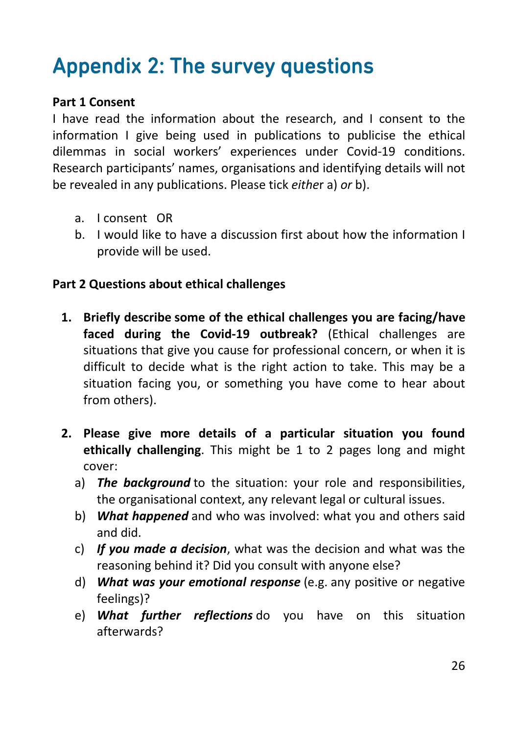# <span id="page-32-0"></span>Appendix 2: The survey questions

#### **Part 1 Consent**

I have read the information about the research, and I consent to the information I give being used in publications to publicise the ethical dilemmas in social workers' experiences under Covid-19 conditions. Research participants' names, organisations and identifying details will not be revealed in any publications. Please tick *eithe*r a) *or* b).

- a. I consent OR
- b. I would like to have a discussion first about how the information I provide will be used.

#### **Part 2 Questions about ethical challenges**

- **1. Briefly describe some of the ethical challenges you are facing/have faced during the Covid-19 outbreak?** (Ethical challenges are situations that give you cause for professional concern, or when it is difficult to decide what is the right action to take. This may be a situation facing you, or something you have come to hear about from others).
- **2. Please give more details of a particular situation you found ethically challenging**. This might be 1 to 2 pages long and might cover:
	- a) *The background* to the situation: your role and responsibilities, the organisational context, any relevant legal or cultural issues.
	- b) *What happened* and who was involved: what you and others said and did.
	- c) *If you made a decision*, what was the decision and what was the reasoning behind it? Did you consult with anyone else?
	- d) *What was your emotional response* (e.g. any positive or negative feelings)?
	- e) *What further reflections* do you have on this situation afterwards?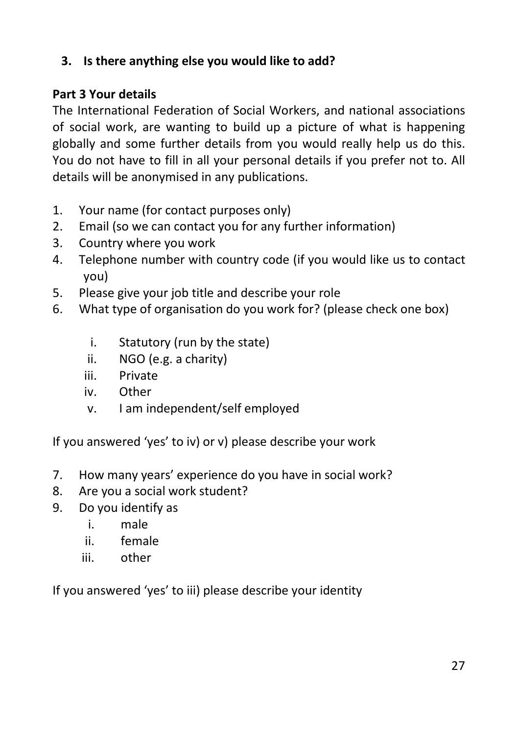## **3. Is there anything else you would like to add?**

## **Part 3 Your details**

The International Federation of Social Workers, and national associations of social work, are wanting to build up a picture of what is happening globally and some further details from you would really help us do this. You do not have to fill in all your personal details if you prefer not to. All details will be anonymised in any publications.

- 1. Your name (for contact purposes only)
- 2. Email (so we can contact you for any further information)
- 3. Country where you work
- 4. Telephone number with country code (if you would like us to contact you)
- 5. Please give your job title and describe your role
- 6. What type of organisation do you work for? (please check one box)
	- i. Statutory (run by the state)
	- ii. NGO (e.g. a charity)
	- iii. Private
	- iv. Other
	- v. I am independent/self employed

If you answered 'yes' to iv) or v) please describe your work

- 7. How many years' experience do you have in social work?
- 8. Are you a social work student?
- 9. Do you identify as
	- i. male
	- ii. female
	- iii. other

If you answered 'yes' to iii) please describe your identity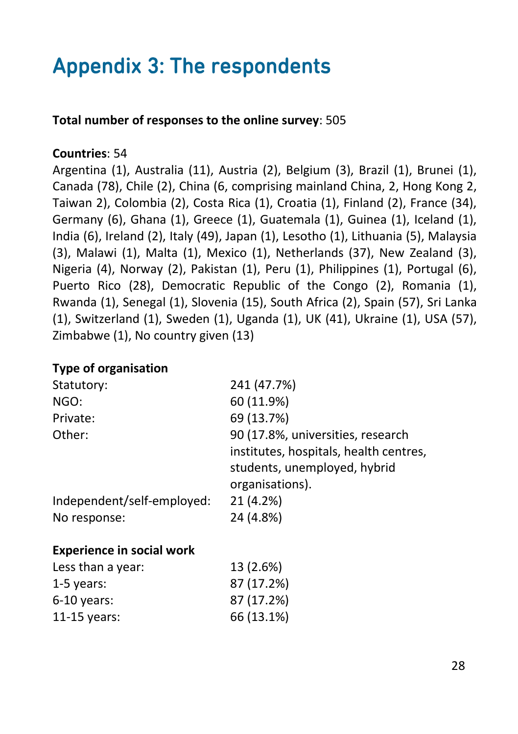## <span id="page-34-0"></span>Appendix 3: The respondents

**Total number of responses to the online survey**: 505

#### **Countries**: 54

Argentina (1), Australia (11), Austria (2), Belgium (3), Brazil (1), Brunei (1), Canada (78), Chile (2), China (6, comprising mainland China, 2, Hong Kong 2, Taiwan 2), Colombia (2), Costa Rica (1), Croatia (1), Finland (2), France (34), Germany (6), Ghana (1), Greece (1), Guatemala (1), Guinea (1), Iceland (1), India (6), Ireland (2), Italy (49), Japan (1), Lesotho (1), Lithuania (5), Malaysia (3), Malawi (1), Malta (1), Mexico (1), Netherlands (37), New Zealand (3), Nigeria (4), Norway (2), Pakistan (1), Peru (1), Philippines (1), Portugal (6), Puerto Rico (28), Democratic Republic of the Congo (2), Romania (1), Rwanda (1), Senegal (1), Slovenia (15), South Africa (2), Spain (57), Sri Lanka (1), Switzerland (1), Sweden (1), Uganda (1), UK (41), Ukraine (1), USA (57), Zimbabwe (1), No country given (13)

#### **Type of organisation**

| Statutory:                       | 241 (47.7%)                            |
|----------------------------------|----------------------------------------|
| NGO:                             | 60 (11.9%)                             |
| Private:                         | 69 (13.7%)                             |
| Other:                           | 90 (17.8%, universities, research      |
|                                  | institutes, hospitals, health centres, |
|                                  | students, unemployed, hybrid           |
|                                  | organisations).                        |
| Independent/self-employed:       | 21 (4.2%)                              |
| No response:                     | 24 (4.8%)                              |
| <b>Experience in social work</b> |                                        |
| Less than a year:                | 13 (2.6%)                              |
| $1-5$ years:                     | 87 (17.2%)                             |
| $6-10$ years:                    | 87 (17.2%)                             |
| $11-15$ years:                   | 66 (13.1%)                             |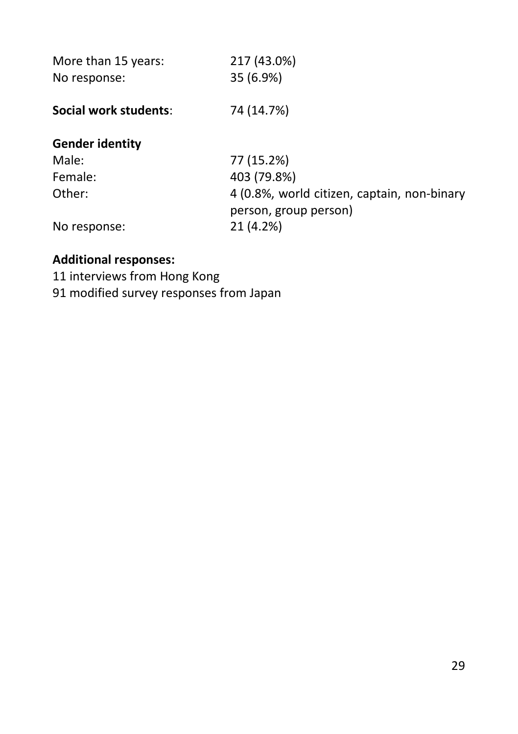| More than 15 years:<br>No response: | 217 (43.0%)<br>35 (6.9%)                    |
|-------------------------------------|---------------------------------------------|
| Social work students:               | 74 (14.7%)                                  |
| <b>Gender identity</b>              |                                             |
| Male:                               | 77 (15.2%)                                  |
| Female:                             | 403 (79.8%)                                 |
| Other:                              | 4 (0.8%, world citizen, captain, non-binary |
| No response:                        | person, group person)<br>21 (4.2%)          |
|                                     |                                             |

## **Additional responses:**

11 interviews from Hong Kong

91 modified survey responses from Japan